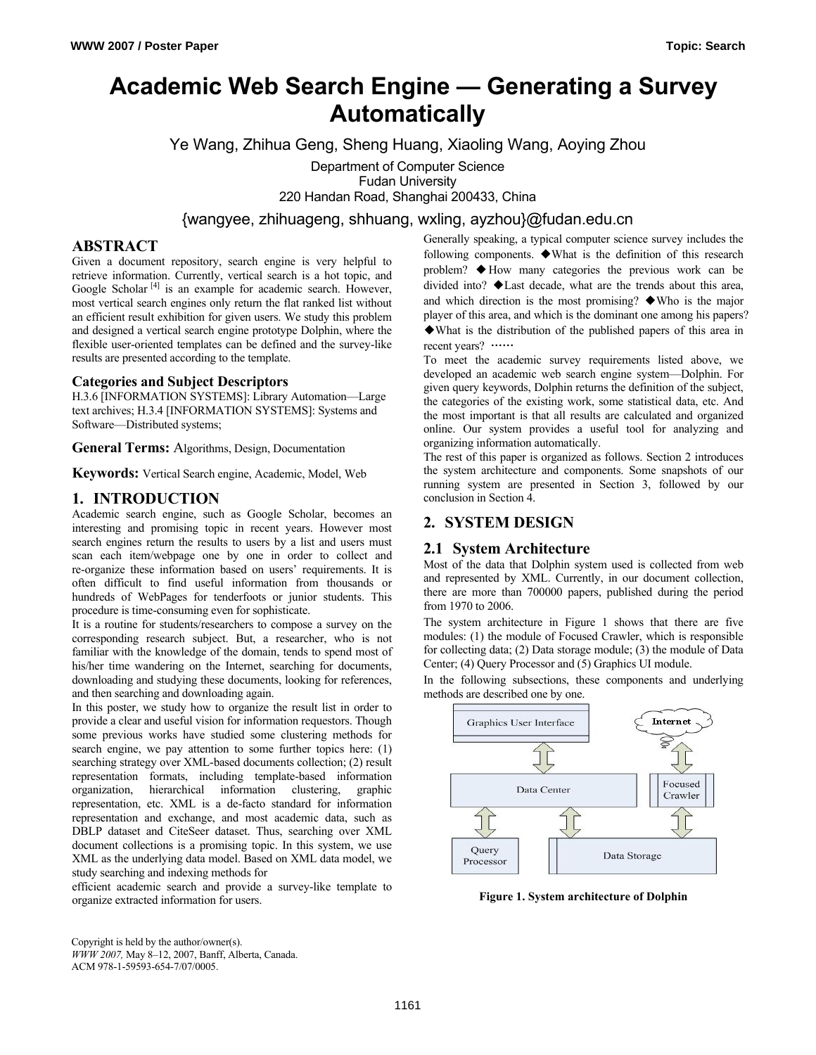# **Academic Web Search Engine — Generating a Survey Automatically**

Ye Wang, Zhihua Geng, Sheng Huang, Xiaoling Wang, Aoying Zhou

Department of Computer Science Fudan University 220 Handan Road, Shanghai 200433, China

{wangyee, zhihuageng, shhuang, wxling, ayzhou}@fudan.edu.cn

## **ABSTRACT**

Given a document repository, search engine is very helpful to retrieve information. Currently, vertical search is a hot topic, and Google Scholar<sup>[4]</sup> is an example for academic search. However, most vertical search engines only return the flat ranked list without an efficient result exhibition for given users. We study this problem and designed a vertical search engine prototype Dolphin, where the flexible user-oriented templates can be defined and the survey-like results are presented according to the template.

#### **Categories and Subject Descriptors**

H.3.6 [INFORMATION SYSTEMS]: Library Automation—Large text archives; H.3.4 [INFORMATION SYSTEMS]: Systems and Software—Distributed systems;

**General Terms:** Algorithms, Design, Documentation

**Keywords:** Vertical Search engine, Academic, Model, Web

#### **1. INTRODUCTION**

Academic search engine, such as Google Scholar, becomes an interesting and promising topic in recent years. However most search engines return the results to users by a list and users must scan each item/webpage one by one in order to collect and re-organize these information based on users' requirements. It is often difficult to find useful information from thousands or hundreds of WebPages for tenderfoots or junior students. This procedure is time-consuming even for sophisticate.

It is a routine for students/researchers to compose a survey on the corresponding research subject. But, a researcher, who is not familiar with the knowledge of the domain, tends to spend most of his/her time wandering on the Internet, searching for documents, downloading and studying these documents, looking for references, and then searching and downloading again.

In this poster, we study how to organize the result list in order to provide a clear and useful vision for information requestors. Though some previous works have studied some clustering methods for search engine, we pay attention to some further topics here: (1) searching strategy over XML-based documents collection; (2) result representation formats, including template-based information organization, hierarchical information clustering, graphic representation, etc. XML is a de-facto standard for information representation and exchange, and most academic data, such as DBLP dataset and CiteSeer dataset. Thus, searching over XML document collections is a promising topic. In this system, we use XML as the underlying data model. Based on XML data model, we study searching and indexing methods for

efficient academic search and provide a survey-like template to organize extracted information for users.

Copyright is held by the author/owner(s). *WWW 2007,* May 8–12, 2007, Banff, Alberta, Canada. ACM 978-1-59593-654-7/07/0005.

Generally speaking, a typical computer science survey includes the following components. ◆What is the definition of this research problem? ◆How many categories the previous work can be divided into? ◆Last decade, what are the trends about this area, and which direction is the most promising? ◆Who is the major player of this area, and which is the dominant one among his papers? ◆What is the distribution of the published papers of this area in recent years? ……

To meet the academic survey requirements listed above, we developed an academic web search engine system—Dolphin. For given query keywords, Dolphin returns the definition of the subject, the categories of the existing work, some statistical data, etc. And the most important is that all results are calculated and organized online. Our system provides a useful tool for analyzing and organizing information automatically.

The rest of this paper is organized as follows. Section 2 introduces the system architecture and components. Some snapshots of our running system are presented in Section 3, followed by our conclusion in Section 4.

## **2. SYSTEM DESIGN**

#### **2.1 System Architecture**

Most of the data that Dolphin system used is collected from web and represented by XML. Currently, in our document collection, there are more than 700000 papers, published during the period from 1970 to 2006.

The system architecture in Figure 1 shows that there are five modules: (1) the module of Focused Crawler, which is responsible for collecting data; (2) Data storage module; (3) the module of Data Center; (4) Query Processor and (5) Graphics UI module.

In the following subsections, these components and underlying methods are described one by one.



**Figure 1. System architecture of Dolphin**